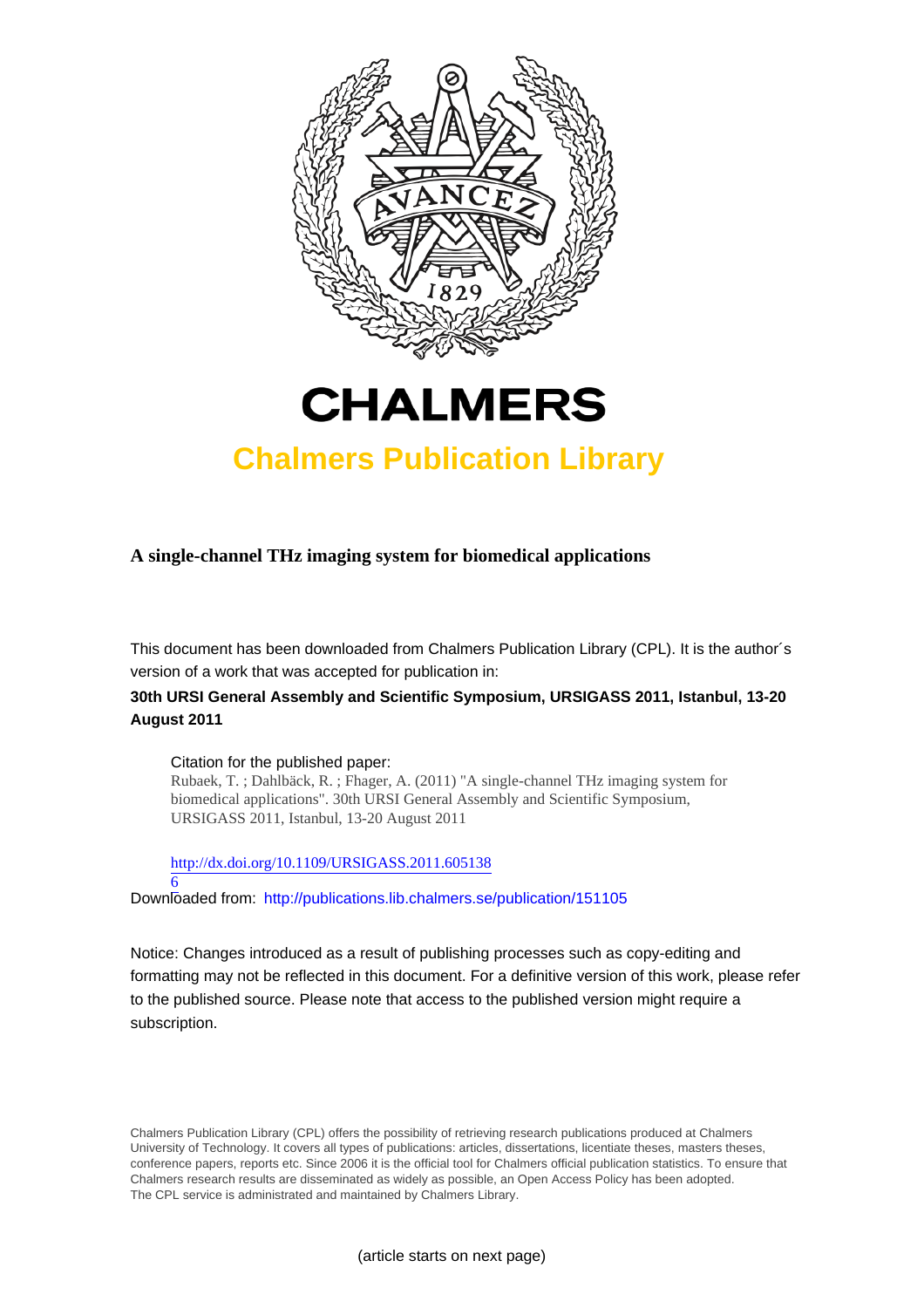



# **Chalmers Publication Library**

**A single-channel THz imaging system for biomedical applications**

This document has been downloaded from Chalmers Publication Library (CPL). It is the author´s version of a work that was accepted for publication in:

## **30th URSI General Assembly and Scientific Symposium, URSIGASS 2011, Istanbul, 13-20 August 2011**

Citation for the published paper:

Rubaek, T. ; Dahlbäck, R. ; Fhager, A. (2011) "A single-channel THz imaging system for biomedical applications". 30th URSI General Assembly and Scientific Symposium, URSIGASS 2011, Istanbul, 13-20 August 2011

[http://dx.doi.org/10.1109/URSIGASS.2011.605138](http://dx.doi.org/10.1109/URSIGASS.2011.6051386)

[6](http://dx.doi.org/10.1109/URSIGASS.2011.6051386) Downloaded from: <http://publications.lib.chalmers.se/publication/151105>

Notice: Changes introduced as a result of publishing processes such as copy-editing and formatting may not be reflected in this document. For a definitive version of this work, please refer to the published source. Please note that access to the published version might require a subscription.

Chalmers Publication Library (CPL) offers the possibility of retrieving research publications produced at Chalmers University of Technology. It covers all types of publications: articles, dissertations, licentiate theses, masters theses, conference papers, reports etc. Since 2006 it is the official tool for Chalmers official publication statistics. To ensure that Chalmers research results are disseminated as widely as possible, an Open Access Policy has been adopted. The CPL service is administrated and maintained by Chalmers Library.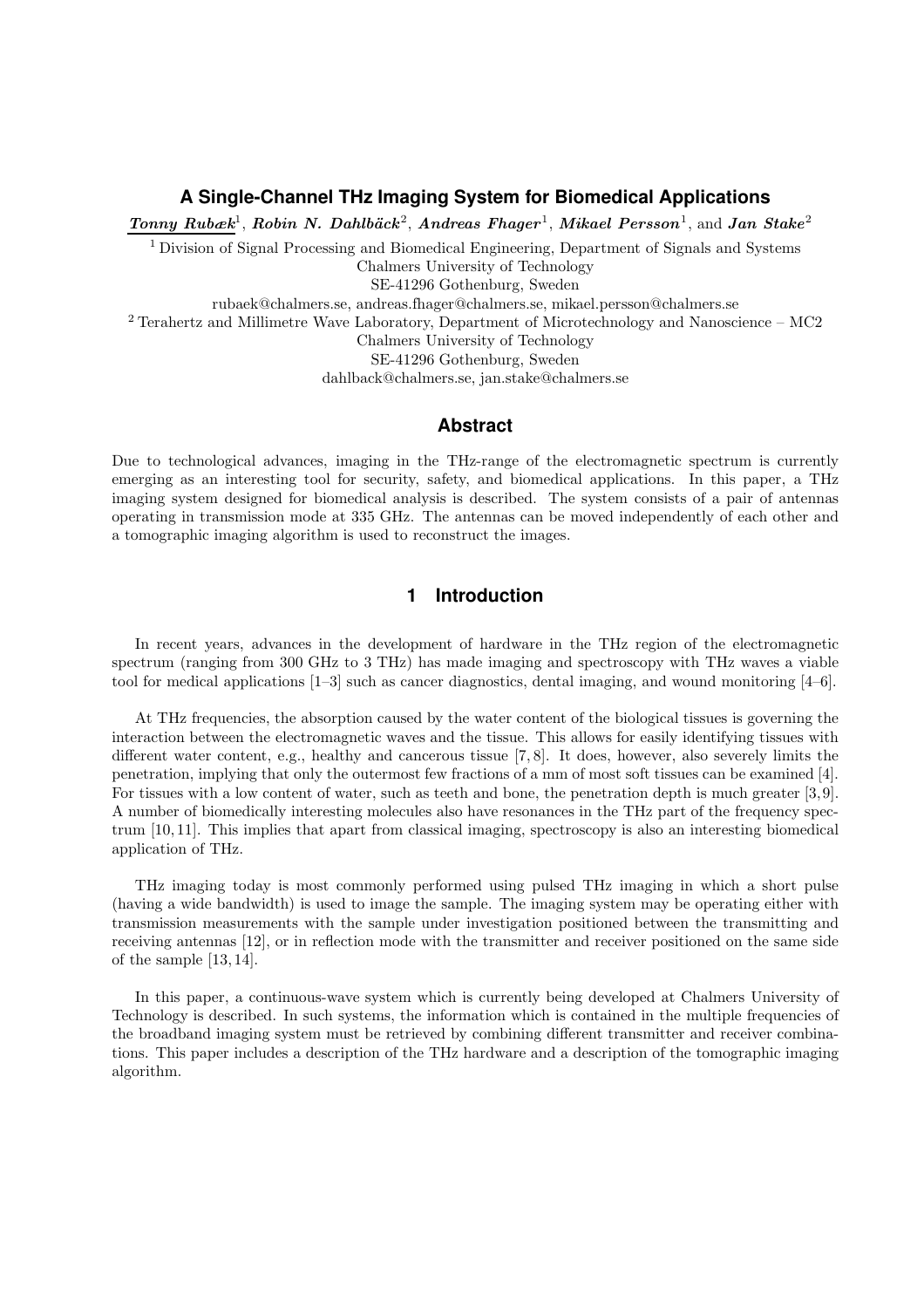#### **A Single-Channel THz Imaging System for Biomedical Applications**

Tonny Rubæk<sup>1</sup>, Robin N. Dahlbäck<sup>2</sup>, Andreas Fhager<sup>1</sup>, Mikael Persson<sup>1</sup>, and Jan Stake<sup>2</sup>

<sup>1</sup> Division of Signal Processing and Biomedical Engineering, Department of Signals and Systems Chalmers University of Technology

SE-41296 Gothenburg, Sweden

rubaek@chalmers.se, andreas.fhager@chalmers.se, mikael.persson@chalmers.se

<sup>2</sup> Terahertz and Millimetre Wave Laboratory, Department of Microtechnology and Nanoscience – MC2

Chalmers University of Technology

SE-41296 Gothenburg, Sweden

dahlback@chalmers.se, jan.stake@chalmers.se

#### **Abstract**

Due to technological advances, imaging in the THz-range of the electromagnetic spectrum is currently emerging as an interesting tool for security, safety, and biomedical applications. In this paper, a THz imaging system designed for biomedical analysis is described. The system consists of a pair of antennas operating in transmission mode at 335 GHz. The antennas can be moved independently of each other and a tomographic imaging algorithm is used to reconstruct the images.

#### **1 Introduction**

In recent years, advances in the development of hardware in the THz region of the electromagnetic spectrum (ranging from 300 GHz to 3 THz) has made imaging and spectroscopy with THz waves a viable tool for medical applications [1–3] such as cancer diagnostics, dental imaging, and wound monitoring [4–6].

At THz frequencies, the absorption caused by the water content of the biological tissues is governing the interaction between the electromagnetic waves and the tissue. This allows for easily identifying tissues with different water content, e.g., healthy and cancerous tissue [7, 8]. It does, however, also severely limits the penetration, implying that only the outermost few fractions of a mm of most soft tissues can be examined [4]. For tissues with a low content of water, such as teeth and bone, the penetration depth is much greater [3, 9]. A number of biomedically interesting molecules also have resonances in the THz part of the frequency spectrum [10, 11]. This implies that apart from classical imaging, spectroscopy is also an interesting biomedical application of THz.

THz imaging today is most commonly performed using pulsed THz imaging in which a short pulse (having a wide bandwidth) is used to image the sample. The imaging system may be operating either with transmission measurements with the sample under investigation positioned between the transmitting and receiving antennas [12], or in reflection mode with the transmitter and receiver positioned on the same side of the sample [13, 14].

In this paper, a continuous-wave system which is currently being developed at Chalmers University of Technology is described. In such systems, the information which is contained in the multiple frequencies of the broadband imaging system must be retrieved by combining different transmitter and receiver combinations. This paper includes a description of the THz hardware and a description of the tomographic imaging algorithm.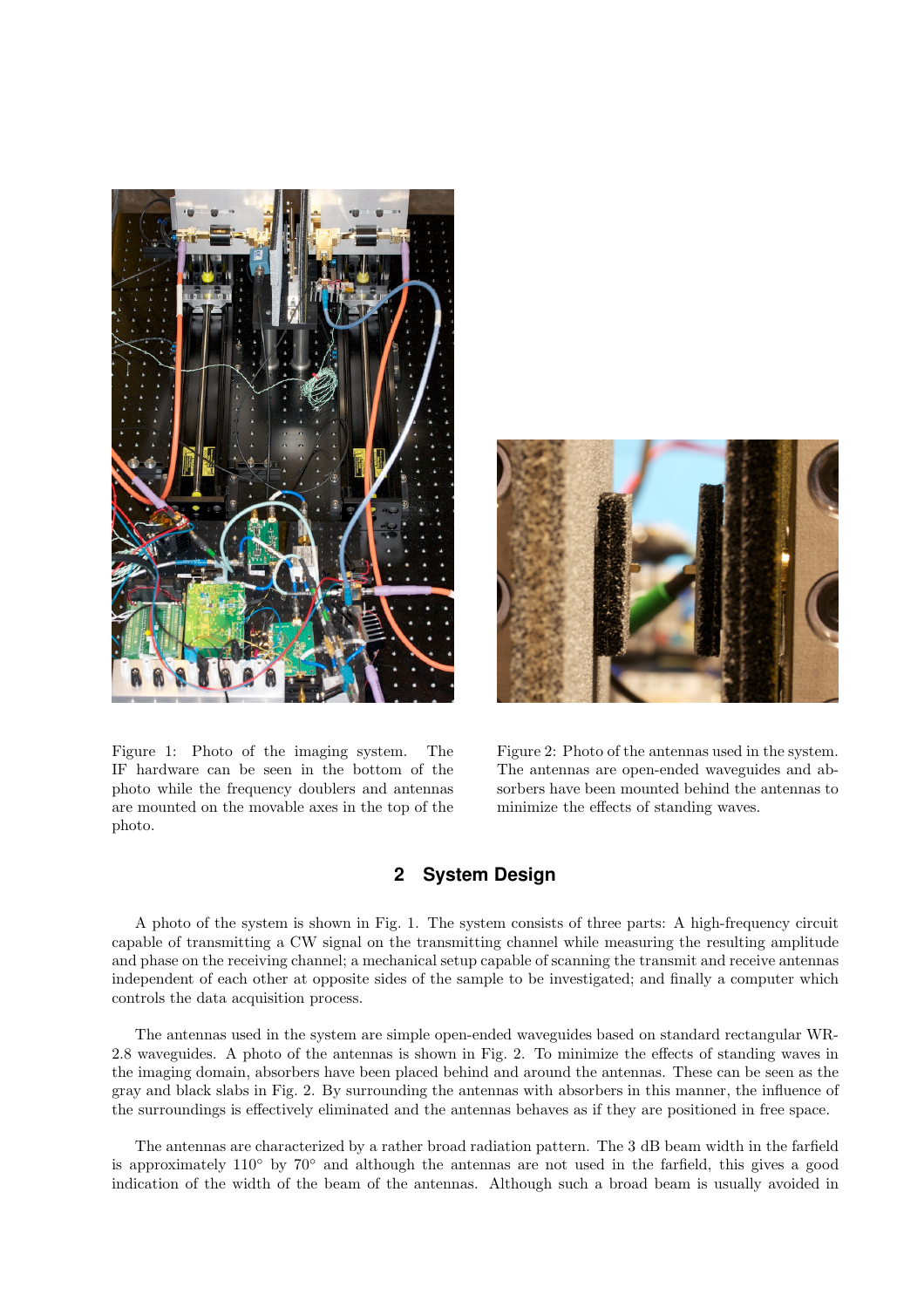

Figure 1: Photo of the imaging system. The IF hardware can be seen in the bottom of the photo while the frequency doublers and antennas are mounted on the movable axes in the top of the photo.



Figure 2: Photo of the antennas used in the system. The antennas are open-ended waveguides and absorbers have been mounted behind the antennas to minimize the effects of standing waves.

#### **2 System Design**

A photo of the system is shown in Fig. 1. The system consists of three parts: A high-frequency circuit capable of transmitting a CW signal on the transmitting channel while measuring the resulting amplitude and phase on the receiving channel; a mechanical setup capable of scanning the transmit and receive antennas independent of each other at opposite sides of the sample to be investigated; and finally a computer which controls the data acquisition process.

The antennas used in the system are simple open-ended waveguides based on standard rectangular WR-2.8 waveguides. A photo of the antennas is shown in Fig. 2. To minimize the effects of standing waves in the imaging domain, absorbers have been placed behind and around the antennas. These can be seen as the gray and black slabs in Fig. 2. By surrounding the antennas with absorbers in this manner, the influence of the surroundings is effectively eliminated and the antennas behaves as if they are positioned in free space.

The antennas are characterized by a rather broad radiation pattern. The 3 dB beam width in the farfield is approximately 110◦ by 70◦ and although the antennas are not used in the farfield, this gives a good indication of the width of the beam of the antennas. Although such a broad beam is usually avoided in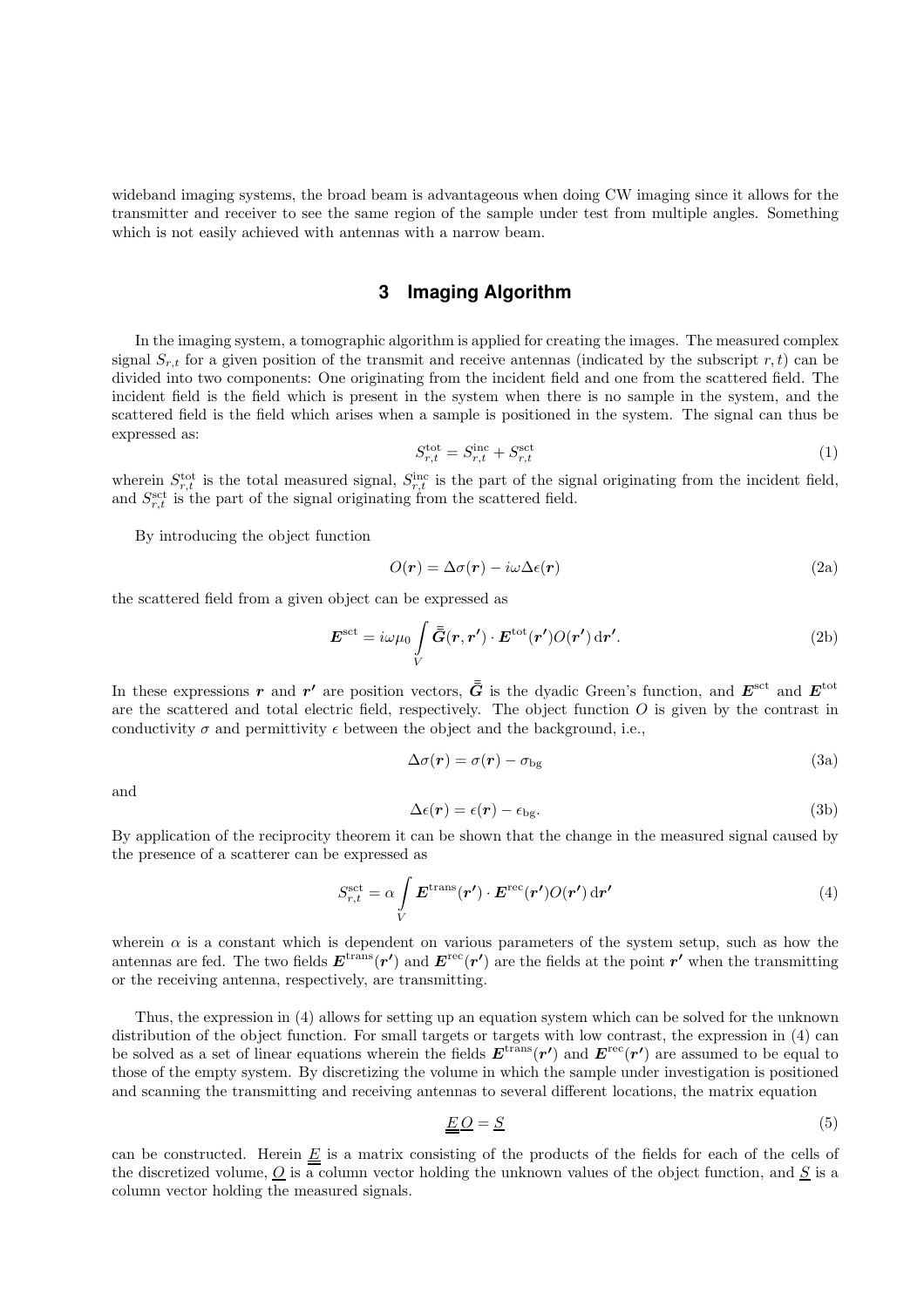wideband imaging systems, the broad beam is advantageous when doing CW imaging since it allows for the transmitter and receiver to see the same region of the sample under test from multiple angles. Something which is not easily achieved with antennas with a narrow beam.

#### **3 Imaging Algorithm**

In the imaging system, a tomographic algorithm is applied for creating the images. The measured complex signal  $S_{r,t}$  for a given position of the transmit and receive antennas (indicated by the subscript r, t) can be divided into two components: One originating from the incident field and one from the scattered field. The incident field is the field which is present in the system when there is no sample in the system, and the scattered field is the field which arises when a sample is positioned in the system. The signal can thus be expressed as:

$$
S_{r,t}^{\text{tot}} = S_{r,t}^{\text{inc}} + S_{r,t}^{\text{set}} \tag{1}
$$

wherein  $S_{r,t}^{\text{tot}}$  is the total measured signal,  $S_{r,t}^{\text{inc}}$  is the part of the signal originating from the incident field, and  $S_{r,t}^{\text{set}}$  is the part of the signal originating from the scattered field.

By introducing the object function

$$
O(r) = \Delta \sigma(r) - i\omega \Delta \epsilon(r) \tag{2a}
$$

the scattered field from a given object can be expressed as

$$
\boldsymbol{E}^{\text{set}} = i\omega\mu_0 \int\limits_V \boldsymbol{\bar{\bar{G}}}(\boldsymbol{r}, \boldsymbol{r}') \cdot \boldsymbol{E}^{\text{tot}}(\boldsymbol{r}') O(\boldsymbol{r}') \,\text{d}\boldsymbol{r}'. \tag{2b}
$$

In these expressions r and r' are position vectors,  $\bar{G}$  is the dyadic Green's function, and  $E^{\rm sct}$  and  $E^{\rm tot}$ are the scattered and total electric field, respectively. The object function  $\hat{O}$  is given by the contrast in conductivity  $\sigma$  and permittivity  $\epsilon$  between the object and the background, i.e.,

$$
\Delta \sigma(\mathbf{r}) = \sigma(\mathbf{r}) - \sigma_{\text{bg}} \tag{3a}
$$

and

$$
\Delta \epsilon(\mathbf{r}) = \epsilon(\mathbf{r}) - \epsilon_{\text{bg}}.\tag{3b}
$$

By application of the reciprocity theorem it can be shown that the change in the measured signal caused by the presence of a scatterer can be expressed as

$$
S_{r,t}^{\text{set}} = \alpha \int\limits_{V} \boldsymbol{E}^{\text{trans}}(\boldsymbol{r}') \cdot \boldsymbol{E}^{\text{rec}}(\boldsymbol{r}') O(\boldsymbol{r}') \, \text{d}\boldsymbol{r}' \tag{4}
$$

wherein  $\alpha$  is a constant which is dependent on various parameters of the system setup, such as how the antennas are fed. The two fields  $E^{trans}(r')$  and  $E^{rec}(r')$  are the fields at the point  $r'$  when the transmitting or the receiving antenna, respectively, are transmitting.

Thus, the expression in (4) allows for setting up an equation system which can be solved for the unknown distribution of the object function. For small targets or targets with low contrast, the expression in (4) can be solved as a set of linear equations wherein the fields  $E^{trans}(r')$  and  $E^{rec}(r')$  are assumed to be equal to those of the empty system. By discretizing the volume in which the sample under investigation is positioned and scanning the transmitting and receiving antennas to several different locations, the matrix equation

$$
\underline{E}\underline{O} = \underline{S} \tag{5}
$$

can be constructed. Herein  $\underline{E}$  is a matrix consisting of the products of the fields for each of the cells of the discretized volume,  $\overline{Q}$  is a column vector holding the unknown values of the object function, and  $\overline{S}$  is a column vector holding the measured signals.